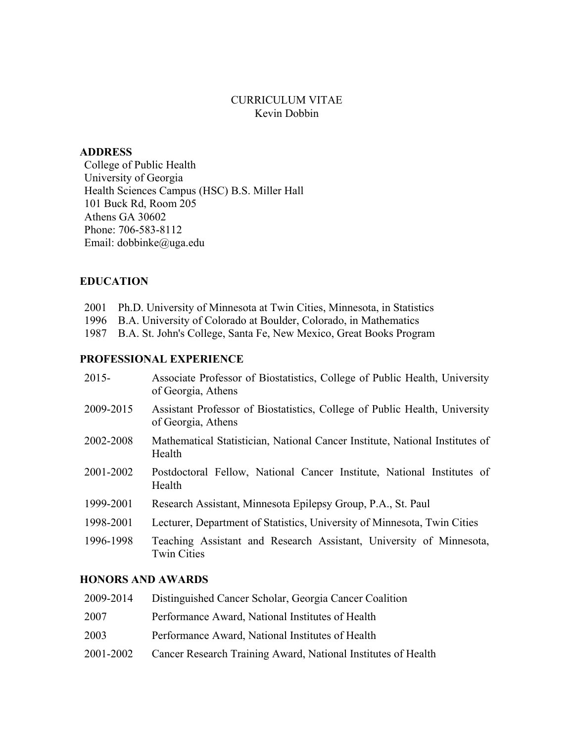## CURRICULUM VITAE Kevin Dobbin

### **ADDRESS**

College of Public Health University of Georgia Health Sciences Campus (HSC) B.S. Miller Hall 101 Buck Rd, Room 205 Athens GA 30602 Phone: 706-583-8112 Email: dobbinke@uga.edu

### **EDUCATION**

2001 Ph.D. University of Minnesota at Twin Cities, Minnesota, in Statistics

1996 B.A. University of Colorado at Boulder, Colorado, in Mathematics

1987 B.A. St. John's College, Santa Fe, New Mexico, Great Books Program

### **PROFESSIONAL EXPERIENCE**

| $2015 -$  | Associate Professor of Biostatistics, College of Public Health, University<br>of Georgia, Athens |
|-----------|--------------------------------------------------------------------------------------------------|
| 2009-2015 | Assistant Professor of Biostatistics, College of Public Health, University<br>of Georgia, Athens |
| 2002-2008 | Mathematical Statistician, National Cancer Institute, National Institutes of<br>Health           |
| 2001-2002 | Postdoctoral Fellow, National Cancer Institute, National Institutes of<br>Health                 |
| 1999-2001 | Research Assistant, Minnesota Epilepsy Group, P.A., St. Paul                                     |
| 1998-2001 | Lecturer, Department of Statistics, University of Minnesota, Twin Cities                         |
| 1996-1998 | Teaching Assistant and Research Assistant, University of Minnesota,<br><b>Twin Cities</b>        |

# **HONORS AND AWARDS**

| 2009-2014 | Distinguished Cancer Scholar, Georgia Cancer Coalition        |
|-----------|---------------------------------------------------------------|
| 2007      | Performance Award, National Institutes of Health              |
| 2003      | Performance Award, National Institutes of Health              |
| 2001-2002 | Cancer Research Training Award, National Institutes of Health |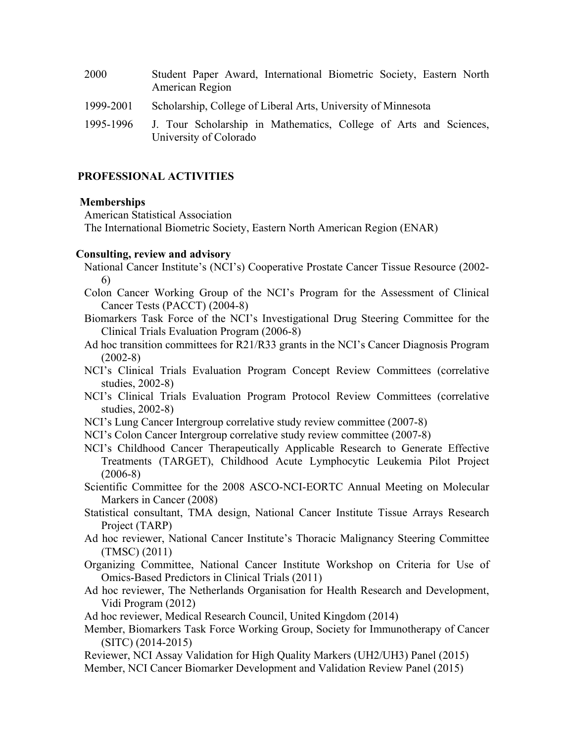| 2000      | Student Paper Award, International Biometric Society, Eastern North<br>American Region      |
|-----------|---------------------------------------------------------------------------------------------|
| 1999-2001 | Scholarship, College of Liberal Arts, University of Minnesota                               |
| 1995-1996 | J. Tour Scholarship in Mathematics, College of Arts and Sciences,<br>University of Colorado |

### **PROFESSIONAL ACTIVITIES**

#### **Memberships**

American Statistical Association

The International Biometric Society, Eastern North American Region (ENAR)

#### **Consulting, review and advisory**

- National Cancer Institute's (NCI's) Cooperative Prostate Cancer Tissue Resource (2002- 6)
- Colon Cancer Working Group of the NCI's Program for the Assessment of Clinical Cancer Tests (PACCT) (2004-8)
- Biomarkers Task Force of the NCI's Investigational Drug Steering Committee for the Clinical Trials Evaluation Program (2006-8)
- Ad hoc transition committees for R21/R33 grants in the NCI's Cancer Diagnosis Program (2002-8)
- NCI's Clinical Trials Evaluation Program Concept Review Committees (correlative studies, 2002-8)
- NCI's Clinical Trials Evaluation Program Protocol Review Committees (correlative studies, 2002-8)
- NCI's Lung Cancer Intergroup correlative study review committee (2007-8)
- NCI's Colon Cancer Intergroup correlative study review committee (2007-8)
- NCI's Childhood Cancer Therapeutically Applicable Research to Generate Effective Treatments (TARGET), Childhood Acute Lymphocytic Leukemia Pilot Project (2006-8)
- Scientific Committee for the 2008 ASCO-NCI-EORTC Annual Meeting on Molecular Markers in Cancer (2008)
- Statistical consultant, TMA design, National Cancer Institute Tissue Arrays Research Project (TARP)
- Ad hoc reviewer, National Cancer Institute's Thoracic Malignancy Steering Committee (TMSC) (2011)
- Organizing Committee, National Cancer Institute Workshop on Criteria for Use of Omics-Based Predictors in Clinical Trials (2011)
- Ad hoc reviewer, The Netherlands Organisation for Health Research and Development, Vidi Program (2012)
- Ad hoc reviewer, Medical Research Council, United Kingdom (2014)
- Member, Biomarkers Task Force Working Group, Society for Immunotherapy of Cancer (SITC) (2014-2015)
- Reviewer, NCI Assay Validation for High Quality Markers (UH2/UH3) Panel (2015)
- Member, NCI Cancer Biomarker Development and Validation Review Panel (2015)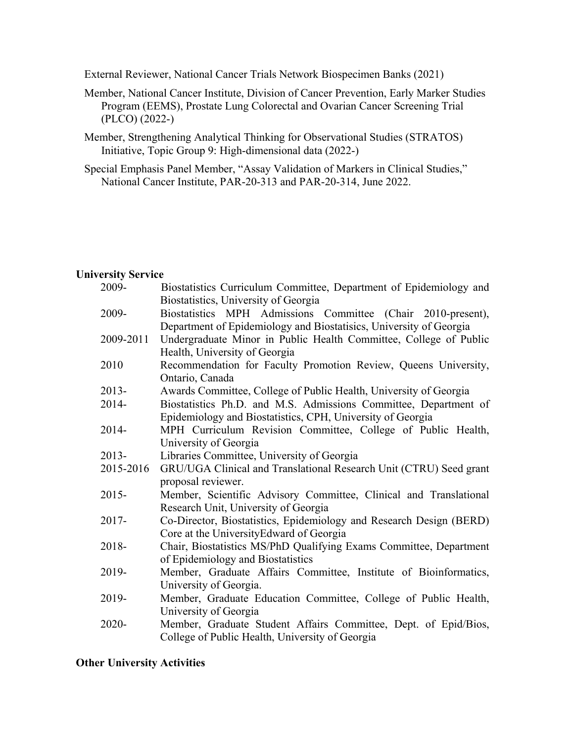External Reviewer, National Cancer Trials Network Biospecimen Banks (2021)

- Member, National Cancer Institute, Division of Cancer Prevention, Early Marker Studies Program (EEMS), Prostate Lung Colorectal and Ovarian Cancer Screening Trial (PLCO) (2022-)
- Member, Strengthening Analytical Thinking for Observational Studies (STRATOS) Initiative, Topic Group 9: High-dimensional data (2022-)
- Special Emphasis Panel Member, "Assay Validation of Markers in Clinical Studies," National Cancer Institute, PAR-20-313 and PAR-20-314, June 2022.

#### **University Service**

| 2009-     | Biostatistics Curriculum Committee, Department of Epidemiology and  |
|-----------|---------------------------------------------------------------------|
|           | Biostatistics, University of Georgia                                |
| 2009-     | Biostatistics MPH Admissions Committee (Chair 2010-present),        |
|           | Department of Epidemiology and Biostatisics, University of Georgia  |
| 2009-2011 | Undergraduate Minor in Public Health Committee, College of Public   |
|           | Health, University of Georgia                                       |
| 2010      | Recommendation for Faculty Promotion Review, Queens University,     |
|           | Ontario, Canada                                                     |
| 2013-     | Awards Committee, College of Public Health, University of Georgia   |
| 2014-     | Biostatistics Ph.D. and M.S. Admissions Committee, Department of    |
|           | Epidemiology and Biostatistics, CPH, University of Georgia          |
| 2014-     | MPH Curriculum Revision Committee, College of Public Health,        |
|           | University of Georgia                                               |
| 2013-     | Libraries Committee, University of Georgia                          |
| 2015-2016 | GRU/UGA Clinical and Translational Research Unit (CTRU) Seed grant  |
|           | proposal reviewer.                                                  |
| 2015-     | Member, Scientific Advisory Committee, Clinical and Translational   |
|           | Research Unit, University of Georgia                                |
| 2017-     | Co-Director, Biostatistics, Epidemiology and Research Design (BERD) |
|           | Core at the University Edward of Georgia                            |
| 2018-     | Chair, Biostatistics MS/PhD Qualifying Exams Committee, Department  |
|           | of Epidemiology and Biostatistics                                   |
| 2019-     | Member, Graduate Affairs Committee, Institute of Bioinformatics,    |
|           | University of Georgia.                                              |
| 2019-     | Member, Graduate Education Committee, College of Public Health,     |
|           | University of Georgia                                               |
| 2020-     | Member, Graduate Student Affairs Committee, Dept. of Epid/Bios,     |
|           | College of Public Health, University of Georgia                     |

# **Other University Activities**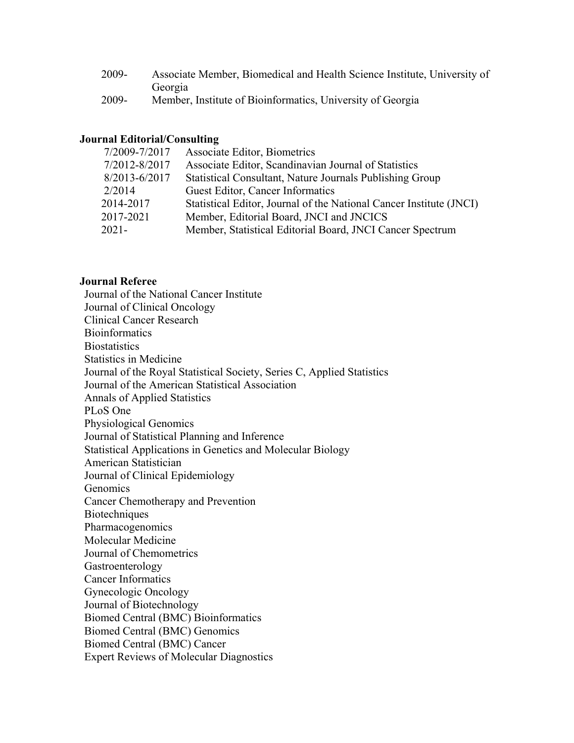| 2009-    | Associate Member, Biomedical and Health Science Institute, University of |
|----------|--------------------------------------------------------------------------|
|          | Georgia                                                                  |
| $\Omega$ | $\mathbf{M}$ i is content in $\mathbf{C}$                                |

2009- Member, Institute of Bioinformatics, University of Georgia

# **Journal Editorial/Consulting**

| 7/2009-7/2017 | Associate Editor, Biometrics                                        |
|---------------|---------------------------------------------------------------------|
| 7/2012-8/2017 | Associate Editor, Scandinavian Journal of Statistics                |
| 8/2013-6/2017 | Statistical Consultant, Nature Journals Publishing Group            |
| 2/2014        | Guest Editor, Cancer Informatics                                    |
| 2014-2017     | Statistical Editor, Journal of the National Cancer Institute (JNCI) |
| 2017-2021     | Member, Editorial Board, JNCI and JNCICS                            |
| $2021 -$      | Member, Statistical Editorial Board, JNCI Cancer Spectrum           |
|               |                                                                     |

# **Journal Referee**

| Journal of the National Cancer Institute                               |
|------------------------------------------------------------------------|
| Journal of Clinical Oncology                                           |
| <b>Clinical Cancer Research</b>                                        |
| <b>Bioinformatics</b>                                                  |
| <b>Biostatistics</b>                                                   |
| <b>Statistics in Medicine</b>                                          |
| Journal of the Royal Statistical Society, Series C, Applied Statistics |
| Journal of the American Statistical Association                        |
| <b>Annals of Applied Statistics</b>                                    |
| PLoS One                                                               |
| Physiological Genomics                                                 |
| Journal of Statistical Planning and Inference                          |
| Statistical Applications in Genetics and Molecular Biology             |
| American Statistician                                                  |
| Journal of Clinical Epidemiology                                       |
| Genomics                                                               |
| Cancer Chemotherapy and Prevention                                     |
| <b>Biotechniques</b>                                                   |
| Pharmacogenomics                                                       |
| Molecular Medicine                                                     |
| Journal of Chemometrics                                                |
| Gastroenterology                                                       |
| <b>Cancer Informatics</b>                                              |
| Gynecologic Oncology                                                   |
| Journal of Biotechnology                                               |
| <b>Biomed Central (BMC) Bioinformatics</b>                             |
| <b>Biomed Central (BMC) Genomics</b>                                   |
| <b>Biomed Central (BMC) Cancer</b>                                     |
| <b>Expert Reviews of Molecular Diagnostics</b>                         |
|                                                                        |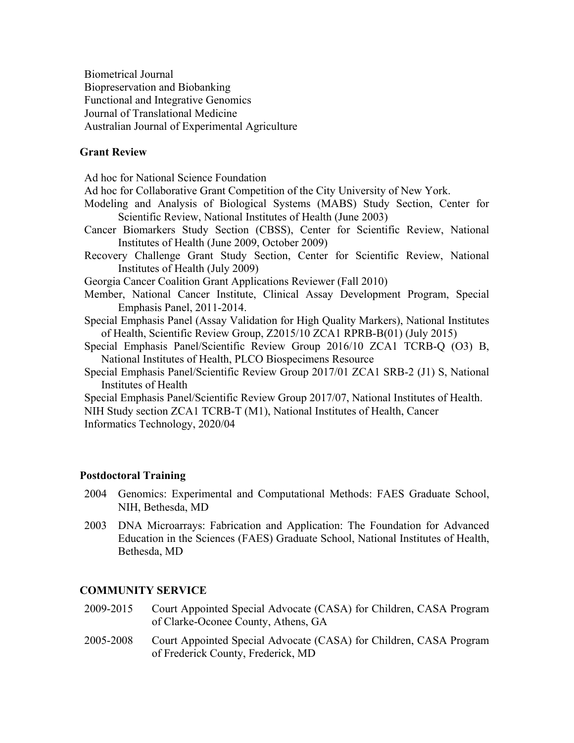Biometrical Journal Biopreservation and Biobanking Functional and Integrative Genomics Journal of Translational Medicine Australian Journal of Experimental Agriculture

### **Grant Review**

Ad hoc for National Science Foundation

Ad hoc for Collaborative Grant Competition of the City University of New York.

- Modeling and Analysis of Biological Systems (MABS) Study Section, Center for Scientific Review, National Institutes of Health (June 2003)
- Cancer Biomarkers Study Section (CBSS), Center for Scientific Review, National Institutes of Health (June 2009, October 2009)
- Recovery Challenge Grant Study Section, Center for Scientific Review, National Institutes of Health (July 2009)
- Georgia Cancer Coalition Grant Applications Reviewer (Fall 2010)
- Member, National Cancer Institute, Clinical Assay Development Program, Special Emphasis Panel, 2011-2014.
- Special Emphasis Panel (Assay Validation for High Quality Markers), National Institutes of Health, Scientific Review Group, Z2015/10 ZCA1 RPRB-B(01) (July 2015)
- Special Emphasis Panel/Scientific Review Group 2016/10 ZCA1 TCRB-Q (O3) B, National Institutes of Health, PLCO Biospecimens Resource
- Special Emphasis Panel/Scientific Review Group 2017/01 ZCA1 SRB-2 (J1) S, National Institutes of Health

Special Emphasis Panel/Scientific Review Group 2017/07, National Institutes of Health. NIH Study section ZCA1 TCRB-T (M1), National Institutes of Health, Cancer Informatics Technology, 2020/04

### **Postdoctoral Training**

- 2004 Genomics: Experimental and Computational Methods: FAES Graduate School, NIH, Bethesda, MD
- 2003 DNA Microarrays: Fabrication and Application: The Foundation for Advanced Education in the Sciences (FAES) Graduate School, National Institutes of Health, Bethesda, MD

### **COMMUNITY SERVICE**

- 2009-2015 Court Appointed Special Advocate (CASA) for Children, CASA Program of Clarke-Oconee County, Athens, GA
- 2005-2008 Court Appointed Special Advocate (CASA) for Children, CASA Program of Frederick County, Frederick, MD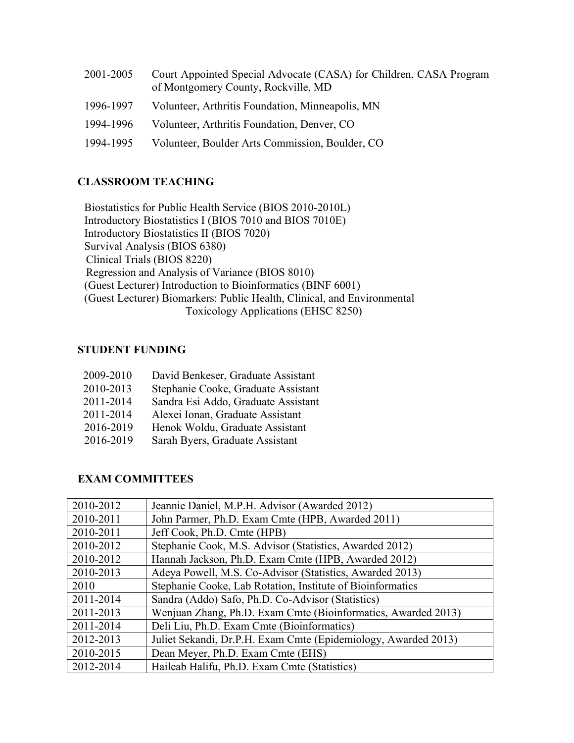| 2001-2005 | Court Appointed Special Advocate (CASA) for Children, CASA Program<br>of Montgomery County, Rockville, MD |
|-----------|-----------------------------------------------------------------------------------------------------------|
| 1996-1997 | Volunteer, Arthritis Foundation, Minneapolis, MN                                                          |
| 1994-1996 | Volunteer, Arthritis Foundation, Denver, CO                                                               |
| 1994-1995 | Volunteer, Boulder Arts Commission, Boulder, CO                                                           |

# **CLASSROOM TEACHING**

Biostatistics for Public Health Service (BIOS 2010-2010L) Introductory Biostatistics I (BIOS 7010 and BIOS 7010E) Introductory Biostatistics II (BIOS 7020) Survival Analysis (BIOS 6380) Clinical Trials (BIOS 8220) Regression and Analysis of Variance (BIOS 8010) (Guest Lecturer) Introduction to Bioinformatics (BINF 6001) (Guest Lecturer) Biomarkers: Public Health, Clinical, and Environmental Toxicology Applications (EHSC 8250)

# **STUDENT FUNDING**

| 2009-2010 | David Benkeser, Graduate Assistant  |
|-----------|-------------------------------------|
| 2010-2013 | Stephanie Cooke, Graduate Assistant |
| 2011-2014 | Sandra Esi Addo, Graduate Assistant |
| 2011-2014 | Alexei Ionan, Graduate Assistant    |
| 2016-2019 | Henok Woldu, Graduate Assistant     |
| 2016-2019 | Sarah Byers, Graduate Assistant     |

# **EXAM COMMITTEES**

| 2010-2012 | Jeannie Daniel, M.P.H. Advisor (Awarded 2012)                  |
|-----------|----------------------------------------------------------------|
| 2010-2011 | John Parmer, Ph.D. Exam Cmte (HPB, Awarded 2011)               |
| 2010-2011 | Jeff Cook, Ph.D. Cmte (HPB)                                    |
| 2010-2012 | Stephanie Cook, M.S. Advisor (Statistics, Awarded 2012)        |
| 2010-2012 | Hannah Jackson, Ph.D. Exam Cmte (HPB, Awarded 2012)            |
| 2010-2013 | Adeya Powell, M.S. Co-Advisor (Statistics, Awarded 2013)       |
| 2010      | Stephanie Cooke, Lab Rotation, Institute of Bioinformatics     |
| 2011-2014 | Sandra (Addo) Safo, Ph.D. Co-Advisor (Statistics)              |
| 2011-2013 | Wenjuan Zhang, Ph.D. Exam Cmte (Bioinformatics, Awarded 2013)  |
| 2011-2014 | Deli Liu, Ph.D. Exam Cmte (Bioinformatics)                     |
| 2012-2013 | Juliet Sekandi, Dr.P.H. Exam Cmte (Epidemiology, Awarded 2013) |
| 2010-2015 | Dean Meyer, Ph.D. Exam Cmte (EHS)                              |
| 2012-2014 | Haileab Halifu, Ph.D. Exam Cmte (Statistics)                   |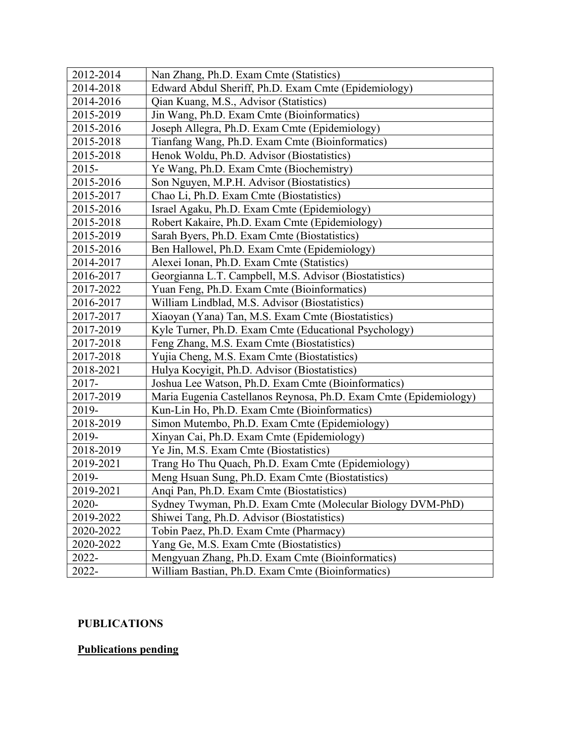| 2012-2014 | Nan Zhang, Ph.D. Exam Cmte (Statistics)                           |
|-----------|-------------------------------------------------------------------|
| 2014-2018 | Edward Abdul Sheriff, Ph.D. Exam Cmte (Epidemiology)              |
| 2014-2016 | Qian Kuang, M.S., Advisor (Statistics)                            |
| 2015-2019 | Jin Wang, Ph.D. Exam Cmte (Bioinformatics)                        |
| 2015-2016 | Joseph Allegra, Ph.D. Exam Cmte (Epidemiology)                    |
| 2015-2018 | Tianfang Wang, Ph.D. Exam Cmte (Bioinformatics)                   |
| 2015-2018 | Henok Woldu, Ph.D. Advisor (Biostatistics)                        |
| $2015 -$  | Ye Wang, Ph.D. Exam Cmte (Biochemistry)                           |
| 2015-2016 | Son Nguyen, M.P.H. Advisor (Biostatistics)                        |
| 2015-2017 | Chao Li, Ph.D. Exam Cmte (Biostatistics)                          |
| 2015-2016 | Israel Agaku, Ph.D. Exam Cmte (Epidemiology)                      |
| 2015-2018 | Robert Kakaire, Ph.D. Exam Cmte (Epidemiology)                    |
| 2015-2019 | Sarah Byers, Ph.D. Exam Cmte (Biostatistics)                      |
| 2015-2016 | Ben Hallowel, Ph.D. Exam Cmte (Epidemiology)                      |
| 2014-2017 | Alexei Ionan, Ph.D. Exam Cmte (Statistics)                        |
| 2016-2017 | Georgianna L.T. Campbell, M.S. Advisor (Biostatistics)            |
| 2017-2022 | Yuan Feng, Ph.D. Exam Cmte (Bioinformatics)                       |
| 2016-2017 | William Lindblad, M.S. Advisor (Biostatistics)                    |
| 2017-2017 | Xiaoyan (Yana) Tan, M.S. Exam Cmte (Biostatistics)                |
| 2017-2019 | Kyle Turner, Ph.D. Exam Cmte (Educational Psychology)             |
| 2017-2018 | Feng Zhang, M.S. Exam Cmte (Biostatistics)                        |
| 2017-2018 | Yujia Cheng, M.S. Exam Cmte (Biostatistics)                       |
| 2018-2021 | Hulya Kocyigit, Ph.D. Advisor (Biostatistics)                     |
| $2017 -$  | Joshua Lee Watson, Ph.D. Exam Cmte (Bioinformatics)               |
| 2017-2019 | Maria Eugenia Castellanos Reynosa, Ph.D. Exam Cmte (Epidemiology) |
| 2019-     | Kun-Lin Ho, Ph.D. Exam Cmte (Bioinformatics)                      |
| 2018-2019 | Simon Mutembo, Ph.D. Exam Cmte (Epidemiology)                     |
| 2019-     | Xinyan Cai, Ph.D. Exam Cmte (Epidemiology)                        |
| 2018-2019 | Ye Jin, M.S. Exam Cmte (Biostatistics)                            |
| 2019-2021 | Trang Ho Thu Quach, Ph.D. Exam Cmte (Epidemiology)                |
| 2019-     | Meng Hsuan Sung, Ph.D. Exam Cmte (Biostatistics)                  |
| 2019-2021 | Angi Pan, Ph.D. Exam Cmte (Biostatistics)                         |
| 2020-     | Sydney Twyman, Ph.D. Exam Cmte (Molecular Biology DVM-PhD)        |
| 2019-2022 | Shiwei Tang, Ph.D. Advisor (Biostatistics)                        |
| 2020-2022 | Tobin Paez, Ph.D. Exam Cmte (Pharmacy)                            |
| 2020-2022 | Yang Ge, M.S. Exam Cmte (Biostatistics)                           |
| 2022-     | Mengyuan Zhang, Ph.D. Exam Cmte (Bioinformatics)                  |
| 2022-     | William Bastian, Ph.D. Exam Cmte (Bioinformatics)                 |

# **PUBLICATIONS**

# **Publications pending**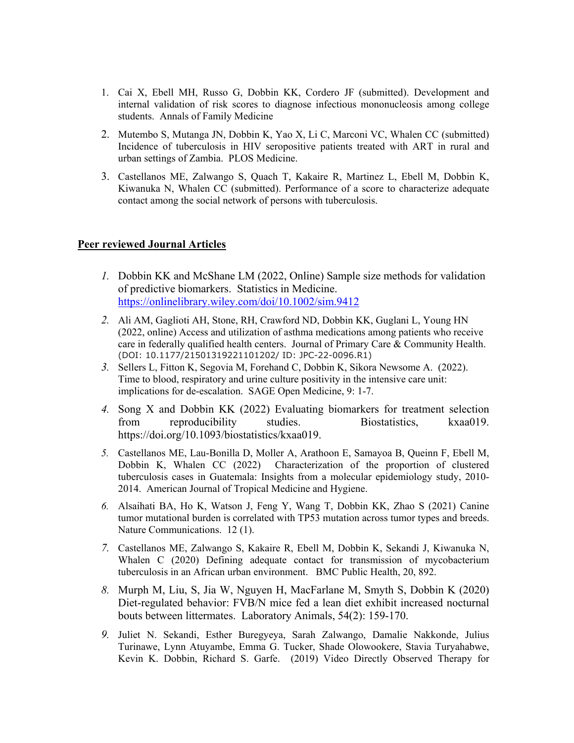- 1. Cai X, Ebell MH, Russo G, Dobbin KK, Cordero JF (submitted). Development and internal validation of risk scores to diagnose infectious mononucleosis among college students. Annals of Family Medicine
- 2. Mutembo S, Mutanga JN, Dobbin K, Yao X, Li C, Marconi VC, Whalen CC (submitted) Incidence of tuberculosis in HIV seropositive patients treated with ART in rural and urban settings of Zambia. PLOS Medicine.
- 3. Castellanos ME, Zalwango S, Quach T, Kakaire R, Martinez L, Ebell M, Dobbin K, Kiwanuka N, Whalen CC (submitted). Performance of a score to characterize adequate contact among the social network of persons with tuberculosis.

#### **Peer reviewed Journal Articles**

- *1.* Dobbin KK and McShane LM (2022, Online) Sample size methods for validation of predictive biomarkers. Statistics in Medicine. <https://onlinelibrary.wiley.com/doi/10.1002/sim.9412>
- *2.* Ali AM, Gaglioti AH, Stone, RH, Crawford ND, Dobbin KK, Guglani L, Young HN (2022, online) Access and utilization of asthma medications among patients who receive care in federally qualified health centers. Journal of Primary Care & Community Health. (DOI: 10.1177/21501319221101202/ ID: JPC-22-0096.R1)
- *3.* Sellers L, Fitton K, Segovia M, Forehand C, Dobbin K, Sikora Newsome A. (2022). Time to blood, respiratory and urine culture positivity in the intensive care unit: implications for de-escalation. SAGE Open Medicine, 9: 1-7.
- *4.* Song X and Dobbin KK (2022) Evaluating biomarkers for treatment selection from reproducibility studies. Biostatistics, kxaa019. https://doi.org/10.1093/biostatistics/kxaa019.
- *5.* Castellanos ME, Lau-Bonilla D, Moller A, Arathoon E, Samayoa B, Queinn F, Ebell M, Dobbin K, Whalen CC (2022) Characterization of the proportion of clustered tuberculosis cases in Guatemala: Insights from a molecular epidemiology study, 2010- 2014. American Journal of Tropical Medicine and Hygiene.
- *6.* Alsaihati BA, Ho K, Watson J, Feng Y, Wang T, Dobbin KK, Zhao S (2021) Canine tumor mutational burden is correlated with TP53 mutation across tumor types and breeds. Nature Communications. 12 (1).
- *7.* Castellanos ME, Zalwango S, Kakaire R, Ebell M, Dobbin K, Sekandi J, Kiwanuka N, Whalen C (2020) Defining adequate contact for transmission of mycobacterium tuberculosis in an African urban environment. BMC Public Health, 20, 892.
- *8.* Murph M, Liu, S, Jia W, Nguyen H, MacFarlane M, Smyth S, Dobbin K (2020) Diet-regulated behavior: FVB/N mice fed a lean diet exhibit increased nocturnal bouts between littermates. Laboratory Animals, 54(2): 159-170.
- *9.* Juliet N. Sekandi, Esther Buregyeya, Sarah Zalwango, Damalie Nakkonde, Julius Turinawe, Lynn Atuyambe, Emma G. Tucker, Shade Olowookere, Stavia Turyahabwe, Kevin K. Dobbin, Richard S. Garfe. (2019) Video Directly Observed Therapy for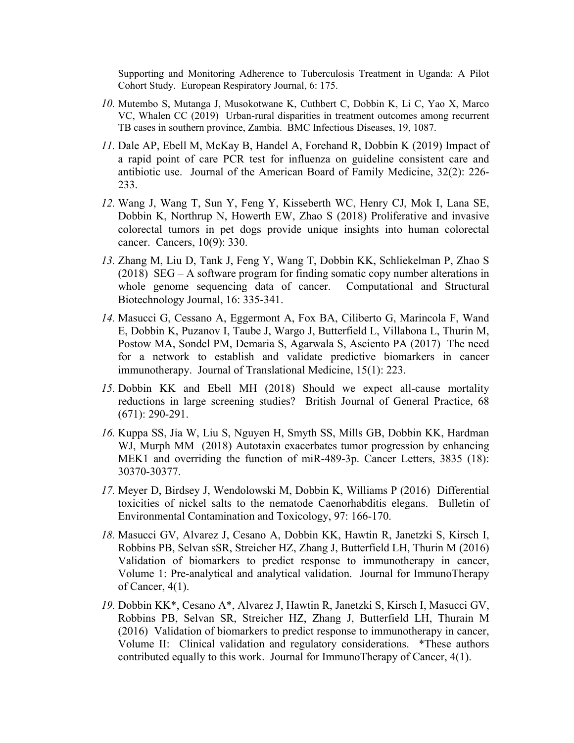Supporting and Monitoring Adherence to Tuberculosis Treatment in Uganda: A Pilot Cohort Study. European Respiratory Journal, 6: 175.

- *10.* Mutembo S, Mutanga J, Musokotwane K, Cuthbert C, Dobbin K, Li C, Yao X, Marco VC, Whalen CC (2019) Urban-rural disparities in treatment outcomes among recurrent TB cases in southern province, Zambia. BMC Infectious Diseases, 19, 1087.
- *11.* Dale AP, Ebell M, McKay B, Handel A, Forehand R, Dobbin K (2019) Impact of a rapid point of care PCR test for influenza on guideline consistent care and antibiotic use. Journal of the American Board of Family Medicine, 32(2): 226- 233.
- *12.* Wang J, Wang T, Sun Y, Feng Y, Kisseberth WC, Henry CJ, Mok I, Lana SE, Dobbin K, Northrup N, Howerth EW, Zhao S (2018) Proliferative and invasive colorectal tumors in pet dogs provide unique insights into human colorectal cancer. Cancers, 10(9): 330.
- *13.* Zhang M, Liu D, Tank J, Feng Y, Wang T, Dobbin KK, Schliekelman P, Zhao S (2018) SEG – A software program for finding somatic copy number alterations in whole genome sequencing data of cancer. Computational and Structural Biotechnology Journal, 16: 335-341.
- *14.* Masucci G, Cessano A, Eggermont A, Fox BA, Ciliberto G, Marincola F, Wand E, Dobbin K, Puzanov I, Taube J, Wargo J, Butterfield L, Villabona L, Thurin M, Postow MA, Sondel PM, Demaria S, Agarwala S, Asciento PA (2017) The need for a network to establish and validate predictive biomarkers in cancer immunotherapy. Journal of Translational Medicine, 15(1): 223.
- *15.* Dobbin KK and Ebell MH (2018) Should we expect all-cause mortality reductions in large screening studies? British Journal of General Practice, 68 (671): 290-291.
- *16.* Kuppa SS, Jia W, Liu S, Nguyen H, Smyth SS, Mills GB, Dobbin KK, Hardman WJ, Murph MM (2018) Autotaxin exacerbates tumor progression by enhancing MEK1 and overriding the function of miR-489-3p. Cancer Letters, 3835 (18): 30370-30377.
- *17.* Meyer D, Birdsey J, Wendolowski M, Dobbin K, Williams P (2016) Differential toxicities of nickel salts to the nematode Caenorhabditis elegans. Bulletin of Environmental Contamination and Toxicology, 97: 166-170.
- *18.* Masucci GV, Alvarez J, Cesano A, Dobbin KK, Hawtin R, Janetzki S, Kirsch I, Robbins PB, Selvan sSR, Streicher HZ, Zhang J, Butterfield LH, Thurin M (2016) Validation of biomarkers to predict response to immunotherapy in cancer, Volume 1: Pre-analytical and analytical validation. Journal for ImmunoTherapy of Cancer, 4(1).
- *19.* Dobbin KK\*, Cesano A\*, Alvarez J, Hawtin R, Janetzki S, Kirsch I, Masucci GV, Robbins PB, Selvan SR, Streicher HZ, Zhang J, Butterfield LH, Thurain M (2016) Validation of biomarkers to predict response to immunotherapy in cancer, Volume II: Clinical validation and regulatory considerations. \*These authors contributed equally to this work. Journal for ImmunoTherapy of Cancer, 4(1).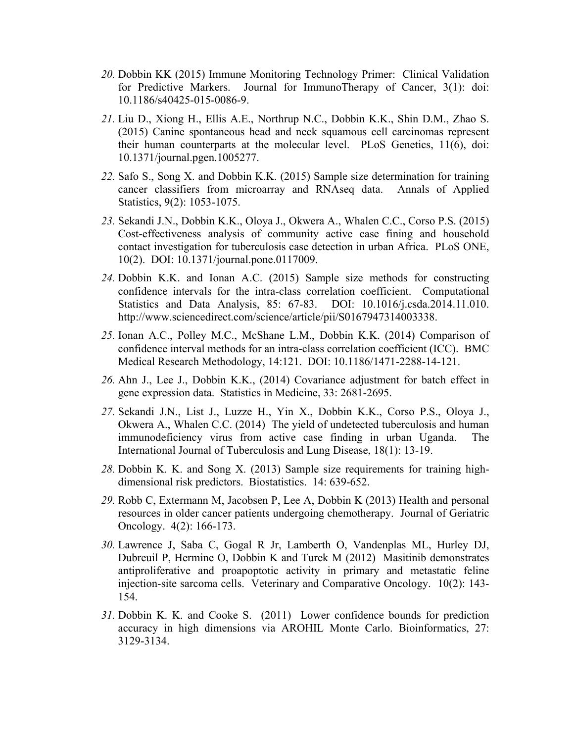- *20.* Dobbin KK (2015) Immune Monitoring Technology Primer: Clinical Validation for Predictive Markers. Journal for ImmunoTherapy of Cancer, 3(1): doi: 10.1186/s40425-015-0086-9.
- *21.* Liu D., Xiong H., Ellis A.E., Northrup N.C., Dobbin K.K., Shin D.M., Zhao S. (2015) Canine spontaneous head and neck squamous cell carcinomas represent their human counterparts at the molecular level. PLoS Genetics, 11(6), doi: 10.1371/journal.pgen.1005277.
- *22.* Safo S., Song X. and Dobbin K.K. (2015) Sample size determination for training cancer classifiers from microarray and RNAseq data. Annals of Applied Statistics, 9(2): 1053-1075.
- *23.* Sekandi J.N., Dobbin K.K., Oloya J., Okwera A., Whalen C.C., Corso P.S. (2015) Cost-effectiveness analysis of community active case fining and household contact investigation for tuberculosis case detection in urban Africa. PLoS ONE, 10(2). DOI: 10.1371/journal.pone.0117009.
- *24.* Dobbin K.K. and Ionan A.C. (2015) Sample size methods for constructing confidence intervals for the intra-class correlation coefficient. Computational Statistics and Data Analysis, 85: 67-83. DOI: 10.1016/j.csda.2014.11.010. http://www.sciencedirect.com/science/article/pii/S0167947314003338.
- *25.* Ionan A.C., Polley M.C., McShane L.M., Dobbin K.K. (2014) Comparison of confidence interval methods for an intra-class correlation coefficient (ICC). BMC Medical Research Methodology, 14:121. DOI: 10.1186/1471-2288-14-121.
- *26.* Ahn J., Lee J., Dobbin K.K., (2014) Covariance adjustment for batch effect in gene expression data. Statistics in Medicine, 33: 2681-2695.
- *27.* Sekandi J.N., List J., Luzze H., Yin X., Dobbin K.K., Corso P.S., Oloya J., Okwera A., Whalen C.C. (2014) The yield of undetected tuberculosis and human immunodeficiency virus from active case finding in urban Uganda. The International Journal of Tuberculosis and Lung Disease, 18(1): 13-19.
- *28.* Dobbin K. K. and Song X. (2013) Sample size requirements for training highdimensional risk predictors. Biostatistics. 14: 639-652.
- *29.* Robb C, Extermann M, Jacobsen P, Lee A, Dobbin K (2013) Health and personal resources in older cancer patients undergoing chemotherapy. Journal of Geriatric Oncology. 4(2): 166-173.
- *30.* Lawrence J, Saba C, Gogal R Jr, Lamberth O, Vandenplas ML, Hurley DJ, Dubreuil P, Hermine O, Dobbin K and Turek M (2012) Masitinib demonstrates antiproliferative and proapoptotic activity in primary and metastatic feline injection-site sarcoma cells. Veterinary and Comparative Oncology. 10(2): 143- 154.
- *31.* Dobbin K. K. and Cooke S. (2011) Lower confidence bounds for prediction accuracy in high dimensions via AROHIL Monte Carlo. Bioinformatics, 27: 3129-3134.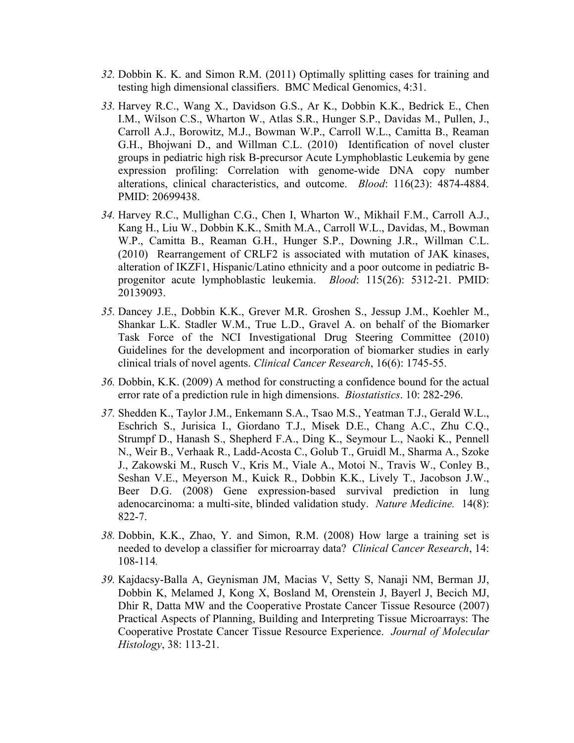- *32.* Dobbin K. K. and Simon R.M. (2011) Optimally splitting cases for training and testing high dimensional classifiers. BMC Medical Genomics, 4:31.
- *33.* Harvey R.C., Wang X., Davidson G.S., Ar K., Dobbin K.K., Bedrick E., Chen I.M., Wilson C.S., Wharton W., Atlas S.R., Hunger S.P., Davidas M., Pullen, J., Carroll A.J., Borowitz, M.J., Bowman W.P., Carroll W.L., Camitta B., Reaman G.H., Bhojwani D., and Willman C.L. (2010) Identification of novel cluster groups in pediatric high risk B-precursor Acute Lymphoblastic Leukemia by gene expression profiling: Correlation with genome-wide DNA copy number alterations, clinical characteristics, and outcome. *Blood*: 116(23): 4874-4884. PMID: 20699438.
- *34.* Harvey R.C., Mullighan C.G., Chen I, Wharton W., Mikhail F.M., Carroll A.J., Kang H., Liu W., Dobbin K.K., Smith M.A., Carroll W.L., Davidas, M., Bowman W.P., Camitta B., Reaman G.H., Hunger S.P., Downing J.R., Willman C.L. (2010) Rearrangement of CRLF2 is associated with mutation of JAK kinases, alteration of IKZF1, Hispanic/Latino ethnicity and a poor outcome in pediatric Bprogenitor acute lymphoblastic leukemia. *Blood*: 115(26): 5312-21. PMID: 20139093.
- *35.* Dancey J.E., Dobbin K.K., Grever M.R. Groshen S., Jessup J.M., Koehler M., Shankar L.K. Stadler W.M., True L.D., Gravel A. on behalf of the Biomarker Task Force of the NCI Investigational Drug Steering Committee (2010) Guidelines for the development and incorporation of biomarker studies in early clinical trials of novel agents. *Clinical Cancer Research*, 16(6): 1745-55.
- *36.* Dobbin, K.K. (2009) A method for constructing a confidence bound for the actual error rate of a prediction rule in high dimensions. *Biostatistics*. 10: 282-296.
- *37.* Shedden K., Taylor J.M., Enkemann S.A., Tsao M.S., Yeatman T.J., Gerald W.L., Eschrich S., Jurisica I., Giordano T.J., Misek D.E., Chang A.C., Zhu C.Q., Strumpf D., Hanash S., Shepherd F.A., Ding K., Seymour L., Naoki K., Pennell N., Weir B., Verhaak R., Ladd-Acosta C., Golub T., Gruidl M., Sharma A., Szoke J., Zakowski M., Rusch V., Kris M., Viale A., Motoi N., Travis W., Conley B., Seshan V.E., Meyerson M., Kuick R., Dobbin K.K., Lively T., Jacobson J.W., Beer D.G. (2008) Gene expression-based survival prediction in lung adenocarcinoma: a multi-site, blinded validation study. *Nature Medicine.* 14(8): 822-7.
- *38.* Dobbin, K.K., Zhao, Y. and Simon, R.M. (2008) How large a training set is needed to develop a classifier for microarray data? *Clinical Cancer Research*, 14: 108-114*.*
- *39.* Kajdacsy-Balla A, Geynisman JM, Macias V, Setty S, Nanaji NM, Berman JJ, Dobbin K, Melamed J, Kong X, Bosland M, Orenstein J, Bayerl J, Becich MJ, Dhir R, Datta MW and the Cooperative Prostate Cancer Tissue Resource (2007) Practical Aspects of Planning, Building and Interpreting Tissue Microarrays: The Cooperative Prostate Cancer Tissue Resource Experience. *Journal of Molecular Histology*, 38: 113-21.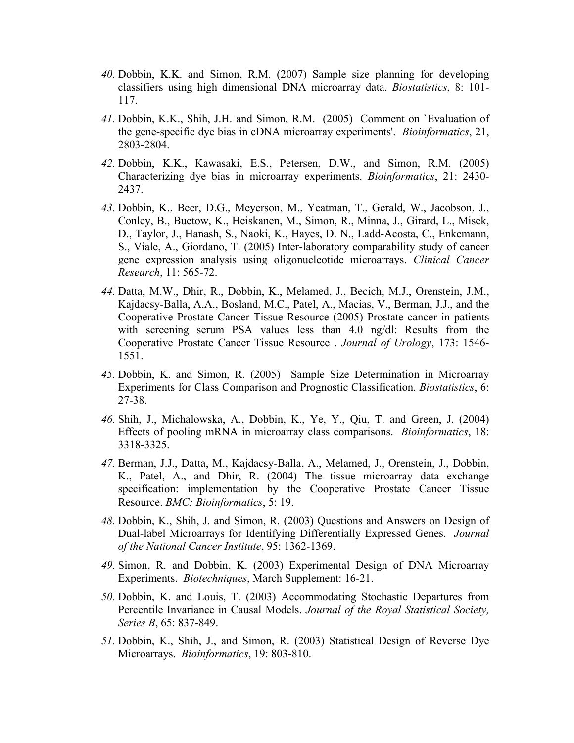- *40.* Dobbin, K.K. and Simon, R.M. (2007) Sample size planning for developing classifiers using high dimensional DNA microarray data. *Biostatistics*, 8: 101- 117.
- *41.* Dobbin, K.K., Shih, J.H. and Simon, R.M. (2005) Comment on `Evaluation of the gene-specific dye bias in cDNA microarray experiments'. *Bioinformatics*, 21, 2803-2804.
- *42.* Dobbin, K.K., Kawasaki, E.S., Petersen, D.W., and Simon, R.M. (2005) Characterizing dye bias in microarray experiments. *Bioinformatics*, 21: 2430- 2437.
- *43.* Dobbin, K., Beer, D.G., Meyerson, M., Yeatman, T., Gerald, W., Jacobson, J., Conley, B., Buetow, K., Heiskanen, M., Simon, R., Minna, J., Girard, L., Misek, D., Taylor, J., Hanash, S., Naoki, K., Hayes, D. N., Ladd-Acosta, C., Enkemann, S., Viale, A., Giordano, T. (2005) Inter-laboratory comparability study of cancer gene expression analysis using oligonucleotide microarrays. *Clinical Cancer Research*, 11: 565-72.
- *44.* Datta, M.W., Dhir, R., Dobbin, K., Melamed, J., Becich, M.J., Orenstein, J.M., Kajdacsy-Balla, A.A., Bosland, M.C., Patel, A., Macias, V., Berman, J.J., and the Cooperative Prostate Cancer Tissue Resource (2005) Prostate cancer in patients with screening serum PSA values less than 4.0 ng/dl: Results from the Cooperative Prostate Cancer Tissue Resource . *Journal of Urology*, 173: 1546- 1551.
- *45.* Dobbin, K. and Simon, R. (2005) Sample Size Determination in Microarray Experiments for Class Comparison and Prognostic Classification. *Biostatistics*, 6: 27-38.
- *46.* Shih, J., Michalowska, A., Dobbin, K., Ye, Y., Qiu, T. and Green, J. (2004) Effects of pooling mRNA in microarray class comparisons. *Bioinformatics*, 18: 3318-3325.
- *47.* Berman, J.J., Datta, M., Kajdacsy-Balla, A., Melamed, J., Orenstein, J., Dobbin, K., Patel, A., and Dhir, R. (2004) The tissue microarray data exchange specification: implementation by the Cooperative Prostate Cancer Tissue Resource. *BMC: Bioinformatics*, 5: 19.
- *48.* Dobbin, K., Shih, J. and Simon, R. (2003) Questions and Answers on Design of Dual-label Microarrays for Identifying Differentially Expressed Genes. *Journal of the National Cancer Institute*, 95: 1362-1369.
- *49.* Simon, R. and Dobbin, K. (2003) Experimental Design of DNA Microarray Experiments. *Biotechniques*, March Supplement: 16-21.
- *50.* Dobbin, K. and Louis, T. (2003) Accommodating Stochastic Departures from Percentile Invariance in Causal Models. *Journal of the Royal Statistical Society, Series B*, 65: 837-849.
- *51.* Dobbin, K., Shih, J., and Simon, R. (2003) Statistical Design of Reverse Dye Microarrays. *Bioinformatics*, 19: 803-810.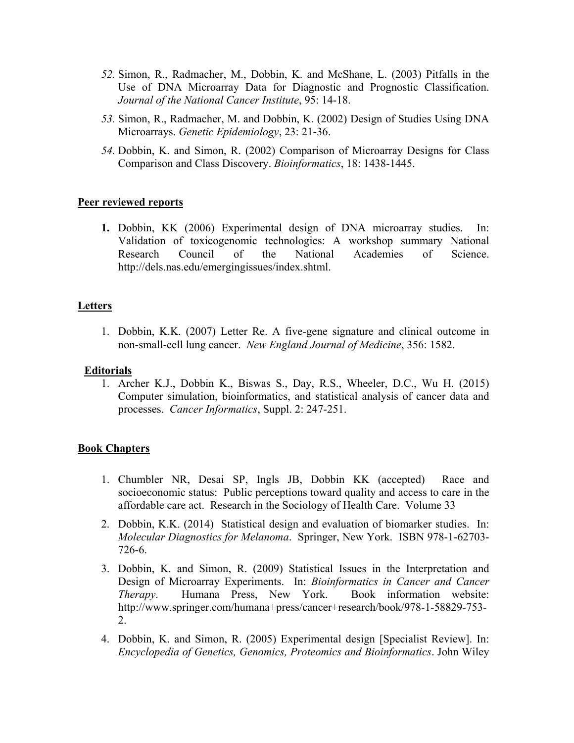- *52.* Simon, R., Radmacher, M., Dobbin, K. and McShane, L. (2003) Pitfalls in the Use of DNA Microarray Data for Diagnostic and Prognostic Classification. *Journal of the National Cancer Institute*, 95: 14-18.
- *53.* Simon, R., Radmacher, M. and Dobbin, K. (2002) Design of Studies Using DNA Microarrays. *Genetic Epidemiology*, 23: 21-36.
- *54.* Dobbin, K. and Simon, R. (2002) Comparison of Microarray Designs for Class Comparison and Class Discovery. *Bioinformatics*, 18: 1438-1445.

## **Peer reviewed reports**

**1.** Dobbin, KK (2006) Experimental design of DNA microarray studies. In: Validation of toxicogenomic technologies: A workshop summary National Research Council of the National Academies of Science. http://dels.nas.edu/emergingissues/index.shtml.

### **Letters**

1. Dobbin, K.K. (2007) Letter Re. A five-gene signature and clinical outcome in non-small-cell lung cancer. *New England Journal of Medicine*, 356: 1582.

### **Editorials**

1. Archer K.J., Dobbin K., Biswas S., Day, R.S., Wheeler, D.C., Wu H. (2015) Computer simulation, bioinformatics, and statistical analysis of cancer data and processes. *Cancer Informatics*, Suppl. 2: 247-251.

### **Book Chapters**

- 1. Chumbler NR, Desai SP, Ingls JB, Dobbin KK (accepted) Race and socioeconomic status: Public perceptions toward quality and access to care in the affordable care act. Research in the Sociology of Health Care. Volume 33
- 2. Dobbin, K.K. (2014) Statistical design and evaluation of biomarker studies. In: *Molecular Diagnostics for Melanoma*. Springer, New York. ISBN 978-1-62703- 726-6.
- 3. Dobbin, K. and Simon, R. (2009) Statistical Issues in the Interpretation and Design of Microarray Experiments. In: *Bioinformatics in Cancer and Cancer Therapy*. Humana Press, New York. Book information website: http://www.springer.com/humana+press/cancer+research/book/978-1-58829-753- 2.
- 4. Dobbin, K. and Simon, R. (2005) Experimental design [Specialist Review]. In: *Encyclopedia of Genetics, Genomics, Proteomics and Bioinformatics*. John Wiley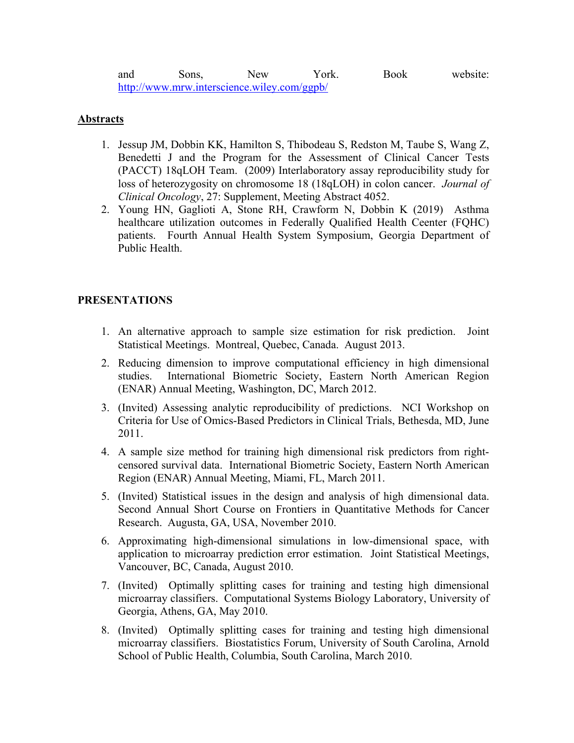and Sons, New York. Book website: <http://www.mrw.interscience.wiley.com/ggpb/>

### **Abstracts**

- 1. Jessup JM, Dobbin KK, Hamilton S, Thibodeau S, Redston M, Taube S, Wang Z, Benedetti J and the Program for the Assessment of Clinical Cancer Tests (PACCT) 18qLOH Team. (2009) Interlaboratory assay reproducibility study for loss of heterozygosity on chromosome 18 (18qLOH) in colon cancer. *Journal of Clinical Oncology*, 27: Supplement, Meeting Abstract 4052.
- 2. Young HN, Gaglioti A, Stone RH, Crawform N, Dobbin K (2019) Asthma healthcare utilization outcomes in Federally Qualified Health Ceenter (FQHC) patients. Fourth Annual Health System Symposium, Georgia Department of Public Health.

## **PRESENTATIONS**

- 1. An alternative approach to sample size estimation for risk prediction. Joint Statistical Meetings. Montreal, Quebec, Canada. August 2013.
- 2. Reducing dimension to improve computational efficiency in high dimensional studies. International Biometric Society, Eastern North American Region (ENAR) Annual Meeting, Washington, DC, March 2012.
- 3. (Invited) Assessing analytic reproducibility of predictions. NCI Workshop on Criteria for Use of Omics-Based Predictors in Clinical Trials, Bethesda, MD, June 2011.
- 4. A sample size method for training high dimensional risk predictors from rightcensored survival data. International Biometric Society, Eastern North American Region (ENAR) Annual Meeting, Miami, FL, March 2011.
- 5. (Invited) Statistical issues in the design and analysis of high dimensional data. Second Annual Short Course on Frontiers in Quantitative Methods for Cancer Research. Augusta, GA, USA, November 2010.
- 6. Approximating high-dimensional simulations in low-dimensional space, with application to microarray prediction error estimation. Joint Statistical Meetings, Vancouver, BC, Canada, August 2010.
- 7. (Invited) Optimally splitting cases for training and testing high dimensional microarray classifiers. Computational Systems Biology Laboratory, University of Georgia, Athens, GA, May 2010.
- 8. (Invited) Optimally splitting cases for training and testing high dimensional microarray classifiers. Biostatistics Forum, University of South Carolina, Arnold School of Public Health, Columbia, South Carolina, March 2010.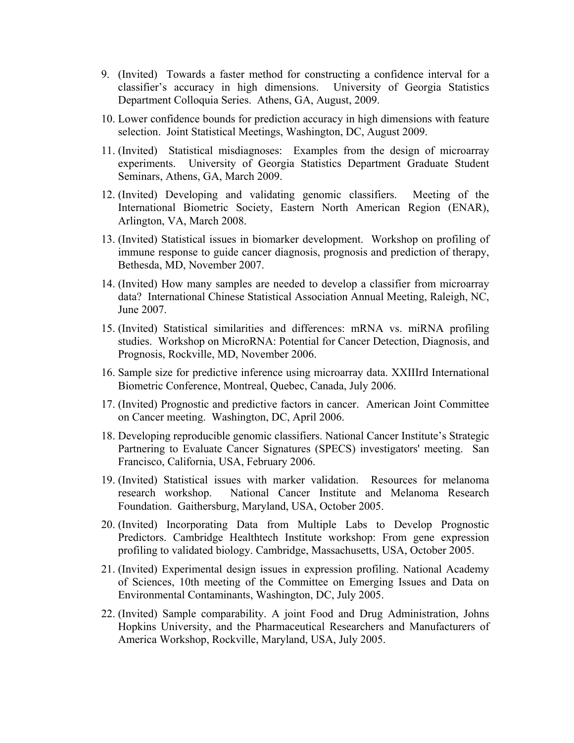- 9. (Invited) Towards a faster method for constructing a confidence interval for a classifier's accuracy in high dimensions. University of Georgia Statistics Department Colloquia Series. Athens, GA, August, 2009.
- 10. Lower confidence bounds for prediction accuracy in high dimensions with feature selection. Joint Statistical Meetings, Washington, DC, August 2009.
- 11. (Invited) Statistical misdiagnoses: Examples from the design of microarray experiments. University of Georgia Statistics Department Graduate Student Seminars, Athens, GA, March 2009.
- 12. (Invited) Developing and validating genomic classifiers. Meeting of the International Biometric Society, Eastern North American Region (ENAR), Arlington, VA, March 2008.
- 13. (Invited) Statistical issues in biomarker development. Workshop on profiling of immune response to guide cancer diagnosis, prognosis and prediction of therapy, Bethesda, MD, November 2007.
- 14. (Invited) How many samples are needed to develop a classifier from microarray data? International Chinese Statistical Association Annual Meeting, Raleigh, NC, June 2007.
- 15. (Invited) Statistical similarities and differences: mRNA vs. miRNA profiling studies. Workshop on MicroRNA: Potential for Cancer Detection, Diagnosis, and Prognosis, Rockville, MD, November 2006.
- 16. Sample size for predictive inference using microarray data. XXIIIrd International Biometric Conference, Montreal, Quebec, Canada, July 2006.
- 17. (Invited) Prognostic and predictive factors in cancer. American Joint Committee on Cancer meeting. Washington, DC, April 2006.
- 18. Developing reproducible genomic classifiers. National Cancer Institute's Strategic Partnering to Evaluate Cancer Signatures (SPECS) investigators' meeting. San Francisco, California, USA, February 2006.
- 19. (Invited) Statistical issues with marker validation. Resources for melanoma research workshop. National Cancer Institute and Melanoma Research Foundation. Gaithersburg, Maryland, USA, October 2005.
- 20. (Invited) Incorporating Data from Multiple Labs to Develop Prognostic Predictors. Cambridge Healthtech Institute workshop: From gene expression profiling to validated biology. Cambridge, Massachusetts, USA, October 2005.
- 21. (Invited) Experimental design issues in expression profiling. National Academy of Sciences, 10th meeting of the Committee on Emerging Issues and Data on Environmental Contaminants, Washington, DC, July 2005.
- 22. (Invited) Sample comparability. A joint Food and Drug Administration, Johns Hopkins University, and the Pharmaceutical Researchers and Manufacturers of America Workshop, Rockville, Maryland, USA, July 2005.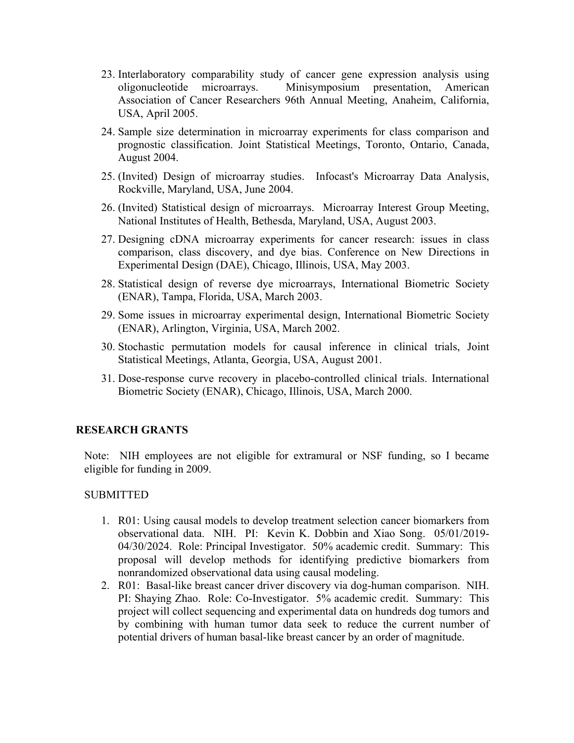- 23. Interlaboratory comparability study of cancer gene expression analysis using oligonucleotide microarrays. Minisymposium presentation, American Association of Cancer Researchers 96th Annual Meeting, Anaheim, California, USA, April 2005.
- 24. Sample size determination in microarray experiments for class comparison and prognostic classification. Joint Statistical Meetings, Toronto, Ontario, Canada, August 2004.
- 25. (Invited) Design of microarray studies. Infocast's Microarray Data Analysis, Rockville, Maryland, USA, June 2004.
- 26. (Invited) Statistical design of microarrays. Microarray Interest Group Meeting, National Institutes of Health, Bethesda, Maryland, USA, August 2003.
- 27. Designing cDNA microarray experiments for cancer research: issues in class comparison, class discovery, and dye bias. Conference on New Directions in Experimental Design (DAE), Chicago, Illinois, USA, May 2003.
- 28. Statistical design of reverse dye microarrays, International Biometric Society (ENAR), Tampa, Florida, USA, March 2003.
- 29. Some issues in microarray experimental design, International Biometric Society (ENAR), Arlington, Virginia, USA, March 2002.
- 30. Stochastic permutation models for causal inference in clinical trials, Joint Statistical Meetings, Atlanta, Georgia, USA, August 2001.
- 31. Dose-response curve recovery in placebo-controlled clinical trials. International Biometric Society (ENAR), Chicago, Illinois, USA, March 2000.

### **RESEARCH GRANTS**

Note: NIH employees are not eligible for extramural or NSF funding, so I became eligible for funding in 2009.

#### SUBMITTED

- 1. R01: Using causal models to develop treatment selection cancer biomarkers from observational data. NIH. PI: Kevin K. Dobbin and Xiao Song. 05/01/2019- 04/30/2024. Role: Principal Investigator. 50% academic credit. Summary: This proposal will develop methods for identifying predictive biomarkers from nonrandomized observational data using causal modeling.
- 2. R01: Basal-like breast cancer driver discovery via dog-human comparison. NIH. PI: Shaying Zhao. Role: Co-Investigator. 5% academic credit. Summary: This project will collect sequencing and experimental data on hundreds dog tumors and by combining with human tumor data seek to reduce the current number of potential drivers of human basal-like breast cancer by an order of magnitude.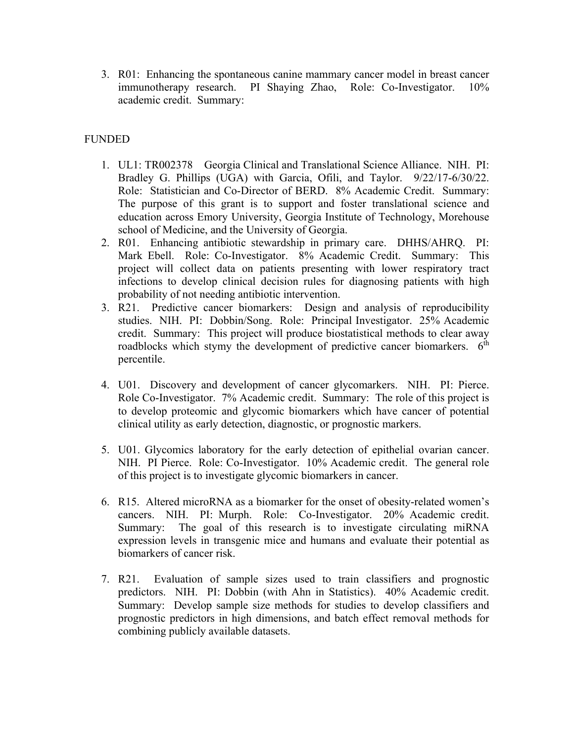3. R01: Enhancing the spontaneous canine mammary cancer model in breast cancer immunotherapy research. PI Shaying Zhao, Role: Co-Investigator. 10% academic credit. Summary:

# FUNDED

- 1. UL1: TR002378 Georgia Clinical and Translational Science Alliance. NIH. PI: Bradley G. Phillips (UGA) with Garcia, Ofili, and Taylor. 9/22/17-6/30/22. Role: Statistician and Co-Director of BERD. 8% Academic Credit. Summary: The purpose of this grant is to support and foster translational science and education across Emory University, Georgia Institute of Technology, Morehouse school of Medicine, and the University of Georgia.
- 2. R01. Enhancing antibiotic stewardship in primary care. DHHS/AHRQ. PI: Mark Ebell. Role: Co-Investigator. 8% Academic Credit. Summary: This project will collect data on patients presenting with lower respiratory tract infections to develop clinical decision rules for diagnosing patients with high probability of not needing antibiotic intervention.
- 3. R21. Predictive cancer biomarkers: Design and analysis of reproducibility studies. NIH. PI: Dobbin/Song. Role: Principal Investigator. 25% Academic credit. Summary: This project will produce biostatistical methods to clear away roadblocks which stymy the development of predictive cancer biomarkers. 6<sup>th</sup> percentile.
- 4. U01. Discovery and development of cancer glycomarkers. NIH. PI: Pierce. Role Co-Investigator. 7% Academic credit. Summary: The role of this project is to develop proteomic and glycomic biomarkers which have cancer of potential clinical utility as early detection, diagnostic, or prognostic markers.
- 5. U01. Glycomics laboratory for the early detection of epithelial ovarian cancer. NIH. PI Pierce. Role: Co-Investigator. 10% Academic credit. The general role of this project is to investigate glycomic biomarkers in cancer.
- 6. R15. Altered microRNA as a biomarker for the onset of obesity-related women's cancers. NIH. PI: Murph. Role: Co-Investigator. 20% Academic credit. Summary: The goal of this research is to investigate circulating miRNA expression levels in transgenic mice and humans and evaluate their potential as biomarkers of cancer risk.
- 7. R21. Evaluation of sample sizes used to train classifiers and prognostic predictors. NIH. PI: Dobbin (with Ahn in Statistics). 40% Academic credit. Summary: Develop sample size methods for studies to develop classifiers and prognostic predictors in high dimensions, and batch effect removal methods for combining publicly available datasets.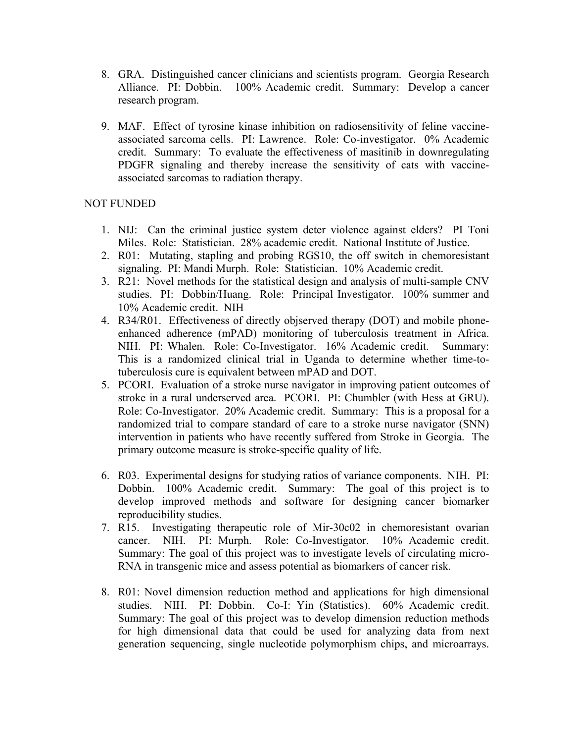- 8. GRA. Distinguished cancer clinicians and scientists program. Georgia Research Alliance. PI: Dobbin. 100% Academic credit. Summary: Develop a cancer research program.
- 9. MAF. Effect of tyrosine kinase inhibition on radiosensitivity of feline vaccineassociated sarcoma cells. PI: Lawrence. Role: Co-investigator. 0% Academic credit. Summary: To evaluate the effectiveness of masitinib in downregulating PDGFR signaling and thereby increase the sensitivity of cats with vaccineassociated sarcomas to radiation therapy.

## NOT FUNDED

- 1. NIJ: Can the criminal justice system deter violence against elders? PI Toni Miles. Role: Statistician. 28% academic credit. National Institute of Justice.
- 2. R01: Mutating, stapling and probing RGS10, the off switch in chemoresistant signaling. PI: Mandi Murph. Role: Statistician. 10% Academic credit.
- 3. R21: Novel methods for the statistical design and analysis of multi-sample CNV studies. PI: Dobbin/Huang. Role: Principal Investigator. 100% summer and 10% Academic credit. NIH
- 4. R34/R01. Effectiveness of directly objserved therapy (DOT) and mobile phoneenhanced adherence (mPAD) monitoring of tuberculosis treatment in Africa. NIH. PI: Whalen. Role: Co-Investigator. 16% Academic credit. Summary: This is a randomized clinical trial in Uganda to determine whether time-totuberculosis cure is equivalent between mPAD and DOT.
- 5. PCORI. Evaluation of a stroke nurse navigator in improving patient outcomes of stroke in a rural underserved area. PCORI. PI: Chumbler (with Hess at GRU). Role: Co-Investigator. 20% Academic credit. Summary: This is a proposal for a randomized trial to compare standard of care to a stroke nurse navigator (SNN) intervention in patients who have recently suffered from Stroke in Georgia. The primary outcome measure is stroke-specific quality of life.
- 6. R03. Experimental designs for studying ratios of variance components. NIH. PI: Dobbin. 100% Academic credit. Summary: The goal of this project is to develop improved methods and software for designing cancer biomarker reproducibility studies.
- 7. R15. Investigating therapeutic role of Mir-30c02 in chemoresistant ovarian cancer. NIH. PI: Murph. Role: Co-Investigator. 10% Academic credit. Summary: The goal of this project was to investigate levels of circulating micro-RNA in transgenic mice and assess potential as biomarkers of cancer risk.
- 8. R01: Novel dimension reduction method and applications for high dimensional studies. NIH. PI: Dobbin. Co-I: Yin (Statistics). 60% Academic credit. Summary: The goal of this project was to develop dimension reduction methods for high dimensional data that could be used for analyzing data from next generation sequencing, single nucleotide polymorphism chips, and microarrays.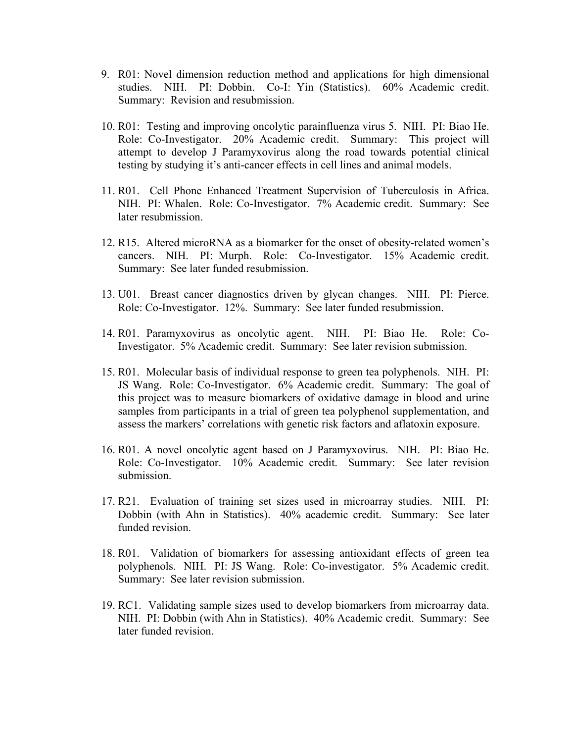- 9. R01: Novel dimension reduction method and applications for high dimensional studies. NIH. PI: Dobbin. Co-I: Yin (Statistics). 60% Academic credit. Summary: Revision and resubmission.
- 10. R01: Testing and improving oncolytic parainfluenza virus 5. NIH. PI: Biao He. Role: Co-Investigator. 20% Academic credit. Summary: This project will attempt to develop J Paramyxovirus along the road towards potential clinical testing by studying it's anti-cancer effects in cell lines and animal models.
- 11. R01. Cell Phone Enhanced Treatment Supervision of Tuberculosis in Africa. NIH. PI: Whalen. Role: Co-Investigator. 7% Academic credit. Summary: See later resubmission.
- 12. R15. Altered microRNA as a biomarker for the onset of obesity-related women's cancers. NIH. PI: Murph. Role: Co-Investigator. 15% Academic credit. Summary: See later funded resubmission.
- 13. U01. Breast cancer diagnostics driven by glycan changes. NIH. PI: Pierce. Role: Co-Investigator. 12%. Summary: See later funded resubmission.
- 14. R01. Paramyxovirus as oncolytic agent. NIH. PI: Biao He. Role: Co-Investigator. 5% Academic credit. Summary: See later revision submission.
- 15. R01. Molecular basis of individual response to green tea polyphenols. NIH. PI: JS Wang. Role: Co-Investigator. 6% Academic credit. Summary: The goal of this project was to measure biomarkers of oxidative damage in blood and urine samples from participants in a trial of green tea polyphenol supplementation, and assess the markers' correlations with genetic risk factors and aflatoxin exposure.
- 16. R01. A novel oncolytic agent based on J Paramyxovirus. NIH. PI: Biao He. Role: Co-Investigator. 10% Academic credit. Summary: See later revision submission.
- 17. R21. Evaluation of training set sizes used in microarray studies. NIH. PI: Dobbin (with Ahn in Statistics). 40% academic credit. Summary: See later funded revision.
- 18. R01. Validation of biomarkers for assessing antioxidant effects of green tea polyphenols. NIH. PI: JS Wang. Role: Co-investigator. 5% Academic credit. Summary: See later revision submission.
- 19. RC1. Validating sample sizes used to develop biomarkers from microarray data. NIH. PI: Dobbin (with Ahn in Statistics). 40% Academic credit. Summary: See later funded revision.